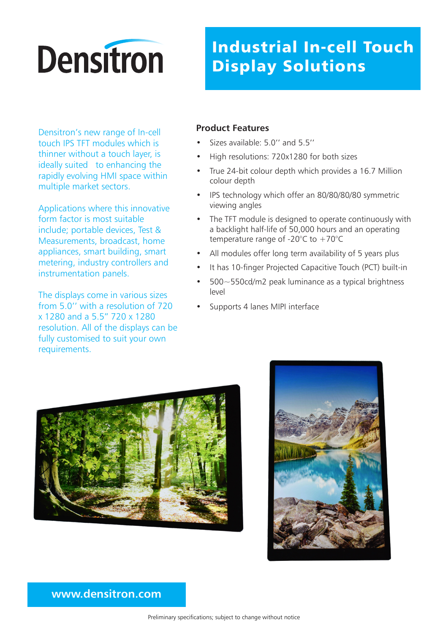# **Densitron**

## Industrial In-cell Touch Display Solutions

Densitron's new range of In-cell touch IPS TFT modules which is thinner without a touch layer, is ideally suited to enhancing the rapidly evolving HMI space within multiple market sectors.

Applications where this innovative form factor is most suitable include; portable devices, Test & Measurements, broadcast, home appliances, smart building, smart metering, industry controllers and instrumentation panels.

The displays come in various sizes from 5.0'' with a resolution of 720 x 1280 and a 5.5" 720 x 1280 resolution. All of the displays can be fully customised to suit your own requirements.

#### **Product Features**

- Sizes available: 5.0'' and 5.5''
- High resolutions: 720x1280 for both sizes
- True 24-bit colour depth which provides a 16.7 Million colour depth
- IPS technology which offer an 80/80/80/80 symmetric viewing angles
- The TFT module is designed to operate continuously with a backlight half-life of 50,000 hours and an operating temperature range of -20 $^{\circ}$ C to +70 $^{\circ}$ C
- All modules offer long term availability of 5 years plus
- It has 10-finger Projected Capacitive Touch (PCT) built-in
- 500~550cd/m2 peak luminance as a typical brightness level
- Supports 4 lanes MIPI interface





### **www.densitron.com**